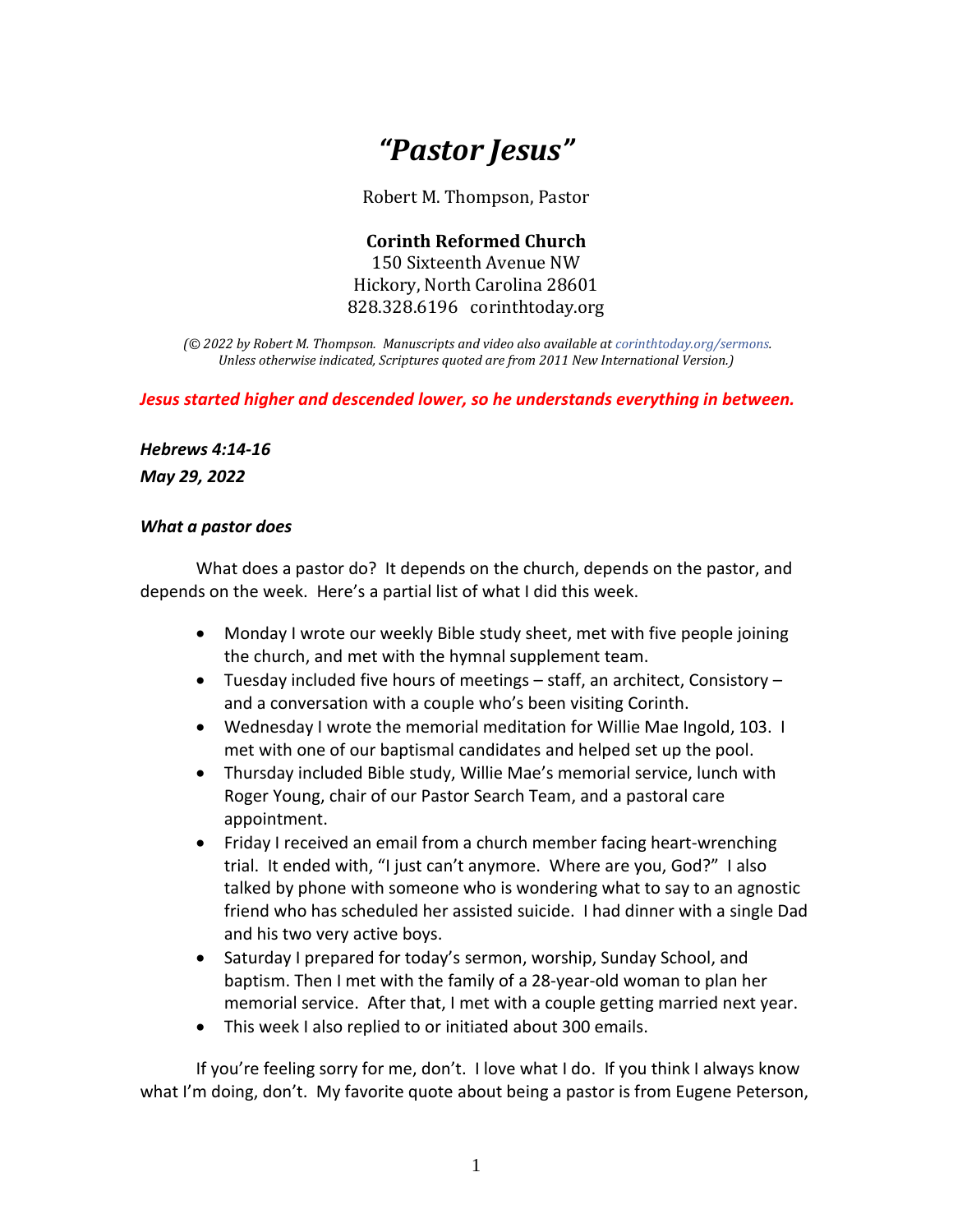## *"Pastor Jesus"*

Robert M. Thompson, Pastor

**Corinth Reformed Church** 150 Sixteenth Avenue NW Hickory, North Carolina 28601 828.328.6196 corinthtoday.org

*(© 2022 by Robert M. Thompson. Manuscripts and video also available a[t corinthtoday.org/sermons.](https://corinthtoday.org/sermons-2/) Unless otherwise indicated, Scriptures quoted are from 2011 New International Version.)*

*Jesus started higher and descended lower, so he understands everything in between.*

*Hebrews 4:14-16*

*May 29, 2022*

## *What a pastor does*

What does a pastor do? It depends on the church, depends on the pastor, and depends on the week. Here's a partial list of what I did this week.

- Monday I wrote our weekly Bible study sheet, met with five people joining the church, and met with the hymnal supplement team.
- Tuesday included five hours of meetings staff, an architect, Consistory and a conversation with a couple who's been visiting Corinth.
- Wednesday I wrote the memorial meditation for Willie Mae Ingold, 103. I met with one of our baptismal candidates and helped set up the pool.
- Thursday included Bible study, Willie Mae's memorial service, lunch with Roger Young, chair of our Pastor Search Team, and a pastoral care appointment.
- Friday I received an email from a church member facing heart-wrenching trial. It ended with, "I just can't anymore. Where are you, God?" I also talked by phone with someone who is wondering what to say to an agnostic friend who has scheduled her assisted suicide. I had dinner with a single Dad and his two very active boys.
- Saturday I prepared for today's sermon, worship, Sunday School, and baptism. Then I met with the family of a 28-year-old woman to plan her memorial service. After that, I met with a couple getting married next year.
- This week I also replied to or initiated about 300 emails.

If you're feeling sorry for me, don't. I love what I do. If you think I always know what I'm doing, don't. My favorite quote about being a pastor is from Eugene Peterson,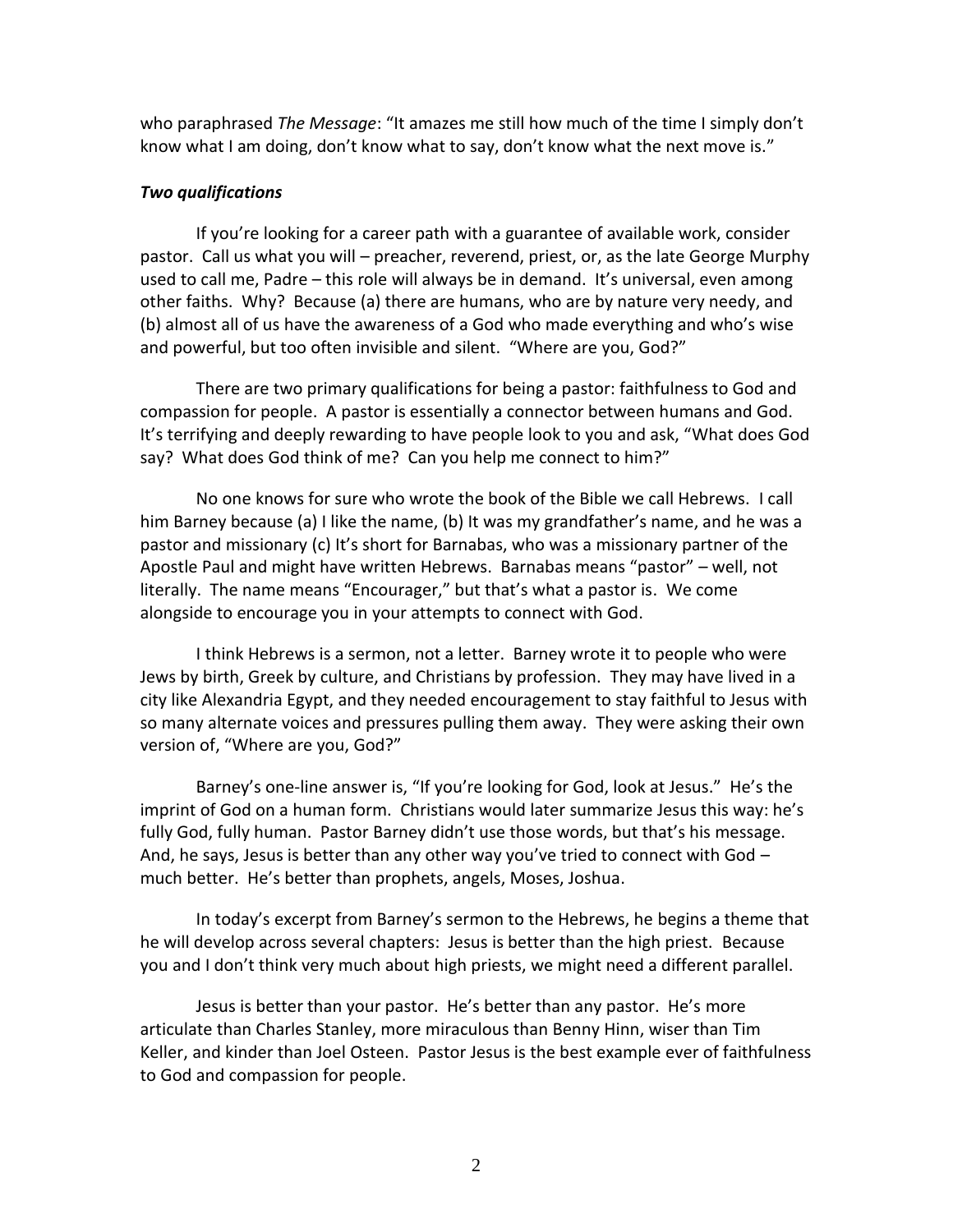who paraphrased *The Message*: "It amazes me still how much of the time I simply don't know what I am doing, don't know what to say, don't know what the next move is."

## *Two qualifications*

If you're looking for a career path with a guarantee of available work, consider pastor. Call us what you will – preacher, reverend, priest, or, as the late George Murphy used to call me, Padre – this role will always be in demand. It's universal, even among other faiths. Why? Because (a) there are humans, who are by nature very needy, and (b) almost all of us have the awareness of a God who made everything and who's wise and powerful, but too often invisible and silent. "Where are you, God?"

There are two primary qualifications for being a pastor: faithfulness to God and compassion for people. A pastor is essentially a connector between humans and God. It's terrifying and deeply rewarding to have people look to you and ask, "What does God say? What does God think of me? Can you help me connect to him?"

No one knows for sure who wrote the book of the Bible we call Hebrews. I call him Barney because (a) I like the name, (b) It was my grandfather's name, and he was a pastor and missionary (c) It's short for Barnabas, who was a missionary partner of the Apostle Paul and might have written Hebrews. Barnabas means "pastor" – well, not literally. The name means "Encourager," but that's what a pastor is. We come alongside to encourage you in your attempts to connect with God.

I think Hebrews is a sermon, not a letter. Barney wrote it to people who were Jews by birth, Greek by culture, and Christians by profession. They may have lived in a city like Alexandria Egypt, and they needed encouragement to stay faithful to Jesus with so many alternate voices and pressures pulling them away. They were asking their own version of, "Where are you, God?"

Barney's one-line answer is, "If you're looking for God, look at Jesus." He's the imprint of God on a human form. Christians would later summarize Jesus this way: he's fully God, fully human. Pastor Barney didn't use those words, but that's his message. And, he says, Jesus is better than any other way you've tried to connect with God much better. He's better than prophets, angels, Moses, Joshua.

In today's excerpt from Barney's sermon to the Hebrews, he begins a theme that he will develop across several chapters: Jesus is better than the high priest. Because you and I don't think very much about high priests, we might need a different parallel.

Jesus is better than your pastor. He's better than any pastor. He's more articulate than Charles Stanley, more miraculous than Benny Hinn, wiser than Tim Keller, and kinder than Joel Osteen. Pastor Jesus is the best example ever of faithfulness to God and compassion for people.